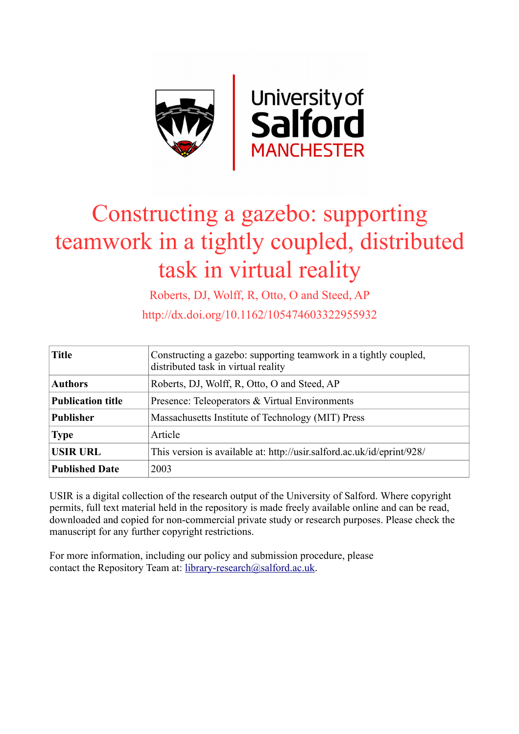

# Constructing a gazebo: supporting teamwork in a tightly coupled, distributed task in virtual reality

Roberts, DJ, Wolff, R, Otto, O and Steed, AP

http://dx.doi.org/10.1162/105474603322955932

| <b>Title</b>             | Constructing a gazebo: supporting teamwork in a tightly coupled,<br>distributed task in virtual reality |  |  |
|--------------------------|---------------------------------------------------------------------------------------------------------|--|--|
| <b>Authors</b>           | Roberts, DJ, Wolff, R, Otto, O and Steed, AP                                                            |  |  |
| <b>Publication title</b> | Presence: Teleoperators & Virtual Environments                                                          |  |  |
| <b>Publisher</b>         | Massachusetts Institute of Technology (MIT) Press                                                       |  |  |
| <b>Type</b>              | Article                                                                                                 |  |  |
| <b>USIR URL</b>          | This version is available at: http://usir.salford.ac.uk/id/eprint/928/                                  |  |  |
| <b>Published Date</b>    | 2003                                                                                                    |  |  |

USIR is a digital collection of the research output of the University of Salford. Where copyright permits, full text material held in the repository is made freely available online and can be read, downloaded and copied for non-commercial private study or research purposes. Please check the manuscript for any further copyright restrictions.

For more information, including our policy and submission procedure, please contact the Repository Team at: [library-research@salford.ac.uk.](mailto:library-research@salford.ac.uk)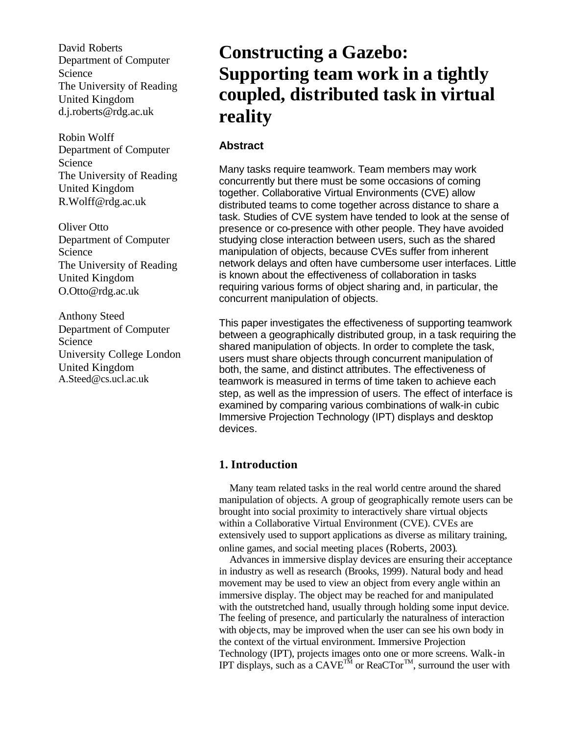David Roberts Department of Computer Science The University of Reading United Kingdom d.j.roberts@rdg.ac.uk

Robin Wolff Department of Computer Science The University of Reading United Kingdom R.Wolff@rdg.ac.uk

Oliver Otto Department of Computer Science The University of Reading United Kingdom O.Otto@rdg.ac.uk

Anthony Steed Department of Computer Science University College London United Kingdom A.Steed@cs.ucl.ac.uk

# **Constructing a Gazebo: Supporting team work in a tightly coupled, distributed task in virtual reality**

# **Abstract**

Many tasks require teamwork. Team members may work concurrently but there must be some occasions of coming together. Collaborative Virtual Environments (CVE) allow distributed teams to come together across distance to share a task. Studies of CVE system have tended to look at the sense of presence or co-presence with other people. They have avoided studying close interaction between users, such as the shared manipulation of objects, because CVEs suffer from inherent network delays and often have cumbersome user interfaces. Little is known about the effectiveness of collaboration in tasks requiring various forms of object sharing and, in particular, the concurrent manipulation of objects.

This paper investigates the effectiveness of supporting teamwork between a geographically distributed group, in a task requiring the shared manipulation of objects. In order to complete the task, users must share objects through concurrent manipulation of both, the same, and distinct attributes. The effectiveness of teamwork is measured in terms of time taken to achieve each step, as well as the impression of users. The effect of interface is examined by comparing various combinations of walk-in cubic Immersive Projection Technology (IPT) displays and desktop devices.

# **1. Introduction**

Many team related tasks in the real world centre around the shared manipulation of objects. A group of geographically remote users can be brought into social proximity to interactively share virtual objects within a Collaborative Virtual Environment (CVE). CVEs are extensively used to support applications as diverse as military training, online games, and social meeting places (Roberts, 2003).

Advances in immersive display devices are ensuring their acceptance in industry as well as research (Brooks, 1999). Natural body and head movement may be used to view an object from every angle within an immersive display. The object may be reached for and manipulated with the outstretched hand, usually through holding some input device. The feeling of presence, and particularly the naturalness of interaction with objects, may be improved when the user can see his own body in the context of the virtual environment. Immersive Projection Technology (IPT), projects images onto one or more screens. Walk-in IPT displays, such as a  $CAVE^{TM}$  or ReaCTor<sup>TM</sup>, surround the user with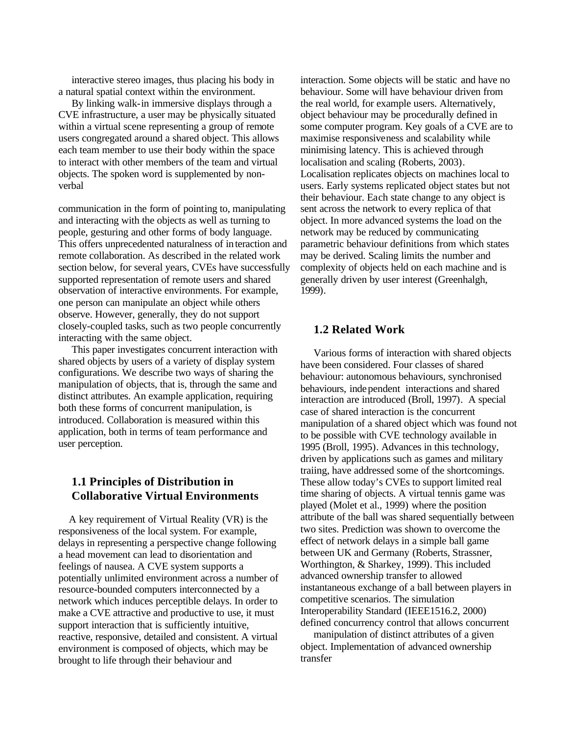interactive stereo images, thus placing his body in a natural spatial context within the environment.

By linking walk-in immersive displays through a CVE infrastructure, a user may be physically situated within a virtual scene representing a group of remote users congregated around a shared object. This allows each team member to use their body within the space to interact with other members of the team and virtual objects. The spoken word is supplemented by nonverbal

communication in the form of pointing to, manipulating and interacting with the objects as well as turning to people, gesturing and other forms of body language. This offers unprecedented naturalness of interaction and remote collaboration. As described in the related work section below, for several years, CVEs have successfully supported representation of remote users and shared observation of interactive environments. For example, one person can manipulate an object while others observe. However, generally, they do not support closely-coupled tasks, such as two people concurrently interacting with the same object.

This paper investigates concurrent interaction with shared objects by users of a variety of display system configurations. We describe two ways of sharing the manipulation of objects, that is, through the same and distinct attributes. An example application, requiring both these forms of concurrent manipulation, is introduced. Collaboration is measured within this application, both in terms of team performance and user perception.

# **1.1 Principles of Distribution in Collaborative Virtual Environments**

A key requirement of Virtual Reality (VR) is the responsiveness of the local system. For example, delays in representing a perspective change following a head movement can lead to disorientation and feelings of nausea. A CVE system supports a potentially unlimited environment across a number of resource-bounded computers interconnected by a network which induces perceptible delays. In order to make a CVE attractive and productive to use, it must support interaction that is sufficiently intuitive, reactive, responsive, detailed and consistent. A virtual environment is composed of objects, which may be brought to life through their behaviour and

interaction. Some objects will be static and have no behaviour. Some will have behaviour driven from the real world, for example users. Alternatively, object behaviour may be procedurally defined in some computer program. Key goals of a CVE are to maximise responsiveness and scalability while minimising latency. This is achieved through localisation and scaling (Roberts, 2003). Localisation replicates objects on machines local to users. Early systems replicated object states but not their behaviour. Each state change to any object is sent across the network to every replica of that object. In more advanced systems the load on the network may be reduced by communicating parametric behaviour definitions from which states may be derived. Scaling limits the number and complexity of objects held on each machine and is generally driven by user interest (Greenhalgh, 1999).

# **1.2 Related Work**

Various forms of interaction with shared objects have been considered. Four classes of shared behaviour: autonomous behaviours, synchronised behaviours, independent interactions and shared interaction are introduced (Broll, 1997). A special case of shared interaction is the concurrent manipulation of a shared object which was found not to be possible with CVE technology available in 1995 (Broll, 1995). Advances in this technology, driven by applications such as games and military traiing, have addressed some of the shortcomings. These allow today's CVEs to support limited real time sharing of objects. A virtual tennis game was played (Molet et al., 1999) where the position attribute of the ball was shared sequentially between two sites. Prediction was shown to overcome the effect of network delays in a simple ball game between UK and Germany (Roberts, Strassner, Worthington, & Sharkey, 1999). This included advanced ownership transfer to allowed instantaneous exchange of a ball between players in competitive scenarios. The simulation Interoperability Standard (IEEE1516.2, 2000) defined concurrency control that allows concurrent

manipulation of distinct attributes of a given object. Implementation of advanced ownership transfer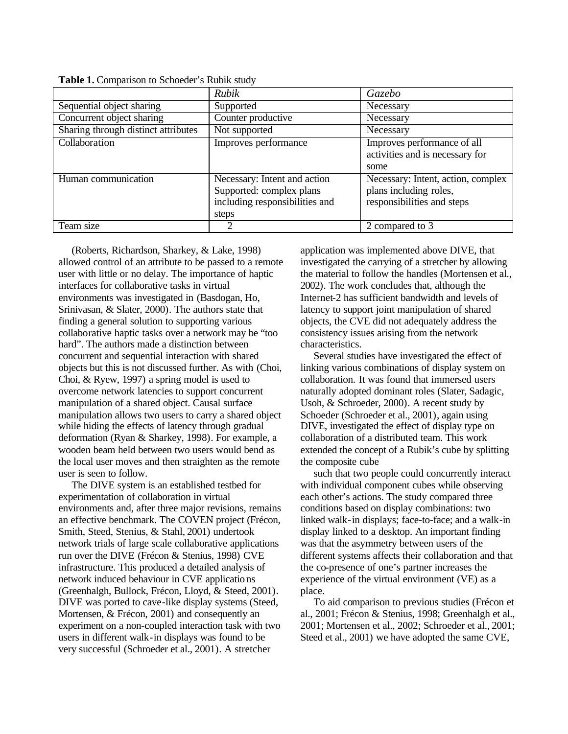|                                     | Rubik                          | <i>Gazebo</i>                      |
|-------------------------------------|--------------------------------|------------------------------------|
| Sequential object sharing           | Supported                      | Necessary                          |
| Concurrent object sharing           | Counter productive             | Necessary                          |
| Sharing through distinct attributes | Not supported                  | Necessary                          |
| Collaboration                       | Improves performance           | Improves performance of all        |
|                                     |                                | activities and is necessary for    |
|                                     |                                | some                               |
| Human communication                 | Necessary: Intent and action   | Necessary: Intent, action, complex |
|                                     | Supported: complex plans       | plans including roles,             |
|                                     | including responsibilities and | responsibilities and steps         |
|                                     | steps                          |                                    |
| Team size                           |                                | 2 compared to 3                    |

**Table 1.** Comparison to Schoeder's Rubik study

(Roberts, Richardson, Sharkey, & Lake, 1998) allowed control of an attribute to be passed to a remote user with little or no delay. The importance of haptic interfaces for collaborative tasks in virtual environments was investigated in (Basdogan, Ho, Srinivasan, & Slater, 2000). The authors state that finding a general solution to supporting various collaborative haptic tasks over a network may be "too hard". The authors made a distinction between concurrent and sequential interaction with shared objects but this is not discussed further. As with (Choi, Choi, & Ryew, 1997) a spring model is used to overcome network latencies to support concurrent manipulation of a shared object. Causal surface manipulation allows two users to carry a shared object while hiding the effects of latency through gradual deformation (Ryan & Sharkey, 1998). For example, a wooden beam held between two users would bend as the local user moves and then straighten as the remote user is seen to follow.

The DIVE system is an established testbed for experimentation of collaboration in virtual environments and, after three major revisions, remains an effective benchmark. The COVEN project (Frécon, Smith, Steed, Stenius, & Stahl, 2001) undertook network trials of large scale collaborative applications run over the DIVE (Frécon & Stenius, 1998) CVE infrastructure. This produced a detailed analysis of network induced behaviour in CVE applications (Greenhalgh, Bullock, Frécon, Lloyd, & Steed, 2001). DIVE was ported to cave-like display systems (Steed, Mortensen, & Frécon, 2001) and consequently an experiment on a non-coupled interaction task with two users in different walk-in displays was found to be very successful (Schroeder et al., 2001). A stretcher

application was implemented above DIVE, that investigated the carrying of a stretcher by allowing the material to follow the handles (Mortensen et al., 2002). The work concludes that, although the Internet-2 has sufficient bandwidth and levels of latency to support joint manipulation of shared objects, the CVE did not adequately address the consistency issues arising from the network characteristics.

Several studies have investigated the effect of linking various combinations of display system on collaboration. It was found that immersed users naturally adopted dominant roles (Slater, Sadagic, Usoh, & Schroeder, 2000). A recent study by Schoeder (Schroeder et al., 2001), again using DIVE, investigated the effect of display type on collaboration of a distributed team. This work extended the concept of a Rubik's cube by splitting the composite cube

such that two people could concurrently interact with individual component cubes while observing each other's actions. The study compared three conditions based on display combinations: two linked walk-in displays; face-to-face; and a walk-in display linked to a desktop. An important finding was that the asymmetry between users of the different systems affects their collaboration and that the co-presence of one's partner increases the experience of the virtual environment (VE) as a place.

To aid comparison to previous studies (Frécon et al., 2001; Frécon & Stenius, 1998; Greenhalgh et al., 2001; Mortensen et al., 2002; Schroeder et al., 2001; Steed et al., 2001) we have adopted the same CVE,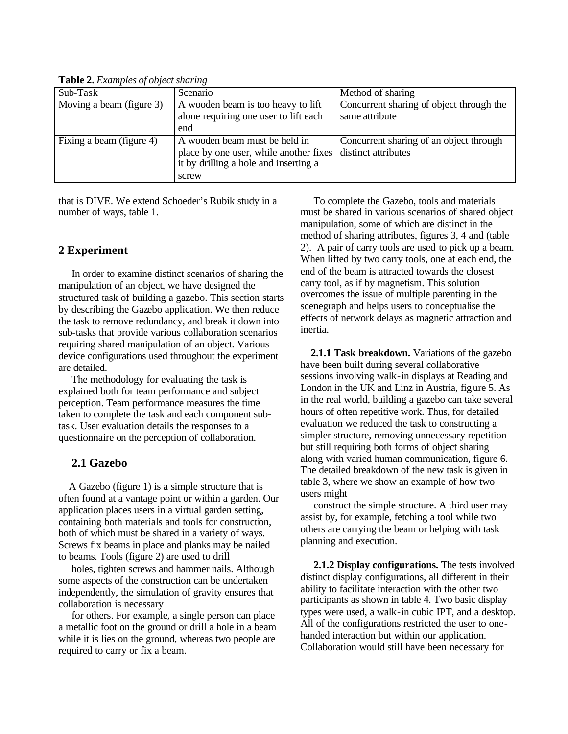| Sub-Task                 | Scenario                                                   | Method of sharing                        |
|--------------------------|------------------------------------------------------------|------------------------------------------|
| Moving a beam (figure 3) | A wooden beam is too heavy to lift                         | Concurrent sharing of object through the |
|                          | alone requiring one user to lift each                      | same attribute                           |
|                          | end                                                        |                                          |
| Fixing a beam (figure 4) | A wooden beam must be held in                              | Concurrent sharing of an object through  |
|                          | place by one user, while another fixes distinct attributes |                                          |
|                          | it by drilling a hole and inserting a                      |                                          |
|                          | screw                                                      |                                          |

**Table 2.** *Examples of object sharing*

that is DIVE. We extend Schoeder's Rubik study in a number of ways, table 1.

# **2 Experiment**

In order to examine distinct scenarios of sharing the manipulation of an object, we have designed the structured task of building a gazebo. This section starts by describing the Gazebo application. We then reduce the task to remove redundancy, and break it down into sub-tasks that provide various collaboration scenarios requiring shared manipulation of an object. Various device configurations used throughout the experiment are detailed.

The methodology for evaluating the task is explained both for team performance and subject perception. Team performance measures the time taken to complete the task and each component subtask. User evaluation details the responses to a questionnaire on the perception of collaboration.

# **2.1 Gazebo**

A Gazebo (figure 1) is a simple structure that is often found at a vantage point or within a garden. Our application places users in a virtual garden setting, containing both materials and tools for construction, both of which must be shared in a variety of ways. Screws fix beams in place and planks may be nailed to beams. Tools (figure 2) are used to drill

holes, tighten screws and hammer nails. Although some aspects of the construction can be undertaken independently, the simulation of gravity ensures that collaboration is necessary

for others. For example, a single person can place a metallic foot on the ground or drill a hole in a beam while it is lies on the ground, whereas two people are required to carry or fix a beam.

To complete the Gazebo, tools and materials must be shared in various scenarios of shared object manipulation, some of which are distinct in the method of sharing attributes, figures 3, 4 and (table 2). A pair of carry tools are used to pick up a beam. When lifted by two carry tools, one at each end, the end of the beam is attracted towards the closest carry tool, as if by magnetism. This solution overcomes the issue of multiple parenting in the scenegraph and helps users to conceptualise the effects of network delays as magnetic attraction and inertia.

**2.1.1 Task breakdown.** Variations of the gazebo have been built during several collaborative sessions involving walk-in displays at Reading and London in the UK and Linz in Austria, figure 5. As in the real world, building a gazebo can take several hours of often repetitive work. Thus, for detailed evaluation we reduced the task to constructing a simpler structure, removing unnecessary repetition but still requiring both forms of object sharing along with varied human communication, figure 6. The detailed breakdown of the new task is given in table 3, where we show an example of how two users might

construct the simple structure. A third user may assist by, for example, fetching a tool while two others are carrying the beam or helping with task planning and execution.

**2.1.2 Display configurations.** The tests involved distinct display configurations, all different in their ability to facilitate interaction with the other two participants as shown in table 4. Two basic display types were used, a walk-in cubic IPT, and a desktop. All of the configurations restricted the user to onehanded interaction but within our application. Collaboration would still have been necessary for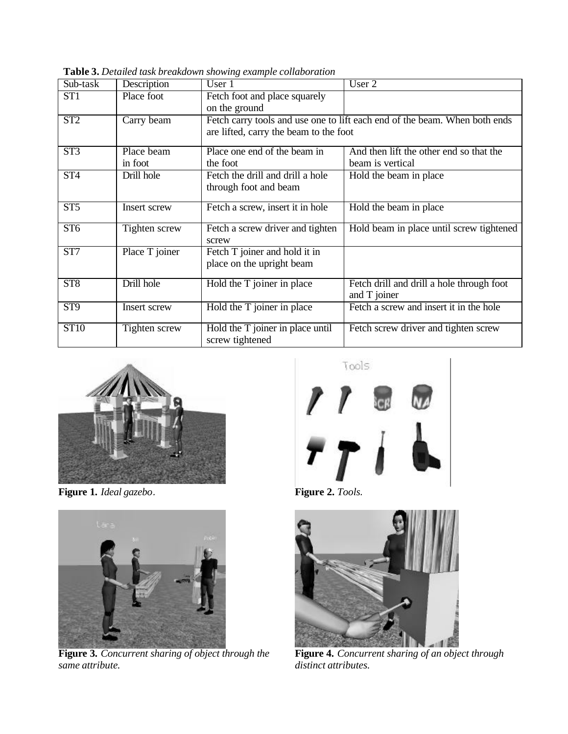| Sub-task                | Description    | User 1                                 | User 2                                                                     |
|-------------------------|----------------|----------------------------------------|----------------------------------------------------------------------------|
| ST <sub>1</sub>         | Place foot     | Fetch foot and place squarely          |                                                                            |
|                         |                | on the ground                          |                                                                            |
| ST <sub>2</sub>         | Carry beam     |                                        | Fetch carry tools and use one to lift each end of the beam. When both ends |
|                         |                | are lifted, carry the beam to the foot |                                                                            |
| ST3                     | Place beam     | Place one end of the beam in           | And then lift the other end so that the                                    |
|                         | in foot        | the foot                               | beam is vertical                                                           |
| ST <sub>4</sub>         | Drill hole     | Fetch the drill and drill a hole       | Hold the beam in place                                                     |
|                         |                | through foot and beam                  |                                                                            |
| ST5                     | Insert screw   | Fetch a screw, insert it in hole       | Hold the beam in place                                                     |
|                         |                |                                        |                                                                            |
| ST <sub>6</sub>         | Tighten screw  | Fetch a screw driver and tighten       | Hold beam in place until screw tightened                                   |
|                         |                | screw                                  |                                                                            |
| ST7                     | Place T joiner | Fetch T joiner and hold it in          |                                                                            |
|                         |                | place on the upright beam              |                                                                            |
| ST8                     | Drill hole     | Hold the T joiner in place             | Fetch drill and drill a hole through foot                                  |
|                         |                |                                        | and T joiner                                                               |
| $\overline{\text{ST9}}$ | Insert screw   | Hold the T joiner in place             | Fetch a screw and insert it in the hole                                    |
| <b>ST10</b>             | Tighten screw  | Hold the T joiner in place until       | Fetch screw driver and tighten screw                                       |
|                         |                | screw tightened                        |                                                                            |

**Table 3.** *Detailed task breakdown showing example collaboration*



**Figure 1.** *Ideal gazebo.* **Figure 2.** *Tools.*



**Figure 3.** *Concurrent sharing of object through the same attribute.*

Tools





**Figure 4.** *Concurrent sharing of an object through distinct attributes.*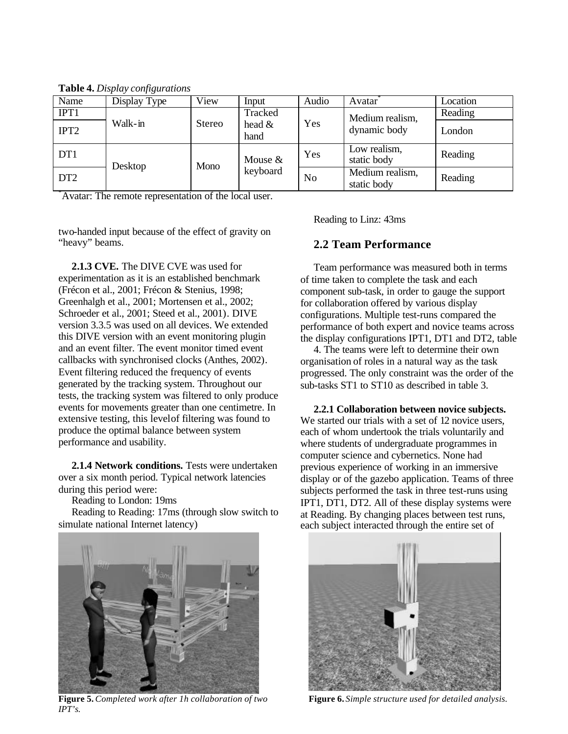| Name             | Display Type | View          | Input                         | Audio | Avatar                         | Location |
|------------------|--------------|---------------|-------------------------------|-------|--------------------------------|----------|
| IPT1             |              |               | Tracked                       |       | Medium realism,                | Reading  |
| IPT <sub>2</sub> | Walk-in      | <b>Stereo</b> | head $\&$<br>hand             | Yes   | dynamic body                   | London   |
| DT <sub>1</sub>  | Desktop      |               | Mouse $&$<br>Mono<br>keyboard | Yes   | Low realism,<br>static body    | Reading  |
| DT <sub>2</sub>  |              |               |                               | No    | Medium realism,<br>static body | Reading  |

**Table 4.** *Display configurations*

Avatar: The remote representation of the local user.

two-handed input because of the effect of gravity on "heavy" beams.

**2.1.3 CVE.** The DIVE CVE was used for experimentation as it is an established benchmark (Frécon et al., 2001; Frécon & Stenius, 1998; Greenhalgh et al., 2001; Mortensen et al., 2002; Schroeder et al., 2001; Steed et al., 2001). DIVE version 3.3.5 was used on all devices. We extended this DIVE version with an event monitoring plugin and an event filter. The event monitor timed event callbacks with synchronised clocks (Anthes, 2002). Event filtering reduced the frequency of events generated by the tracking system. Throughout our tests, the tracking system was filtered to only produce events for movements greater than one centimetre. In extensive testing, this level of filtering was found to produce the optimal balance between system performance and usability.

**2.1.4 Network conditions.** Tests were undertaken over a six month period. Typical network latencies during this period were:

Reading to London: 19ms

Reading to Reading: 17ms (through slow switch to simulate national Internet latency)

Reading to Linz: 43ms

#### **2.2 Team Performance**

Team performance was measured both in terms of time taken to complete the task and each component sub-task, in order to gauge the support for collaboration offered by various display configurations. Multiple test-runs compared the performance of both expert and novice teams across the display configurations IPT1, DT1 and DT2, table

4. The teams were left to determine their own organisation of roles in a natural way as the task progressed. The only constraint was the order of the sub-tasks ST1 to ST10 as described in table 3.

**2.2.1 Collaboration between novice subjects.**  We started our trials with a set of 12 novice users, each of whom undertook the trials voluntarily and where students of undergraduate programmes in computer science and cybernetics. None had previous experience of working in an immersive display or of the gazebo application. Teams of three subjects performed the task in three test-runs using IPT1, DT1, DT2. All of these display systems were at Reading. By changing places between test runs, each subject interacted through the entire set of



**Figure 5.** *Completed work after 1h collaboration of two IPT's.*

**Figure 6.** *Simple structure used for detailed analysis.*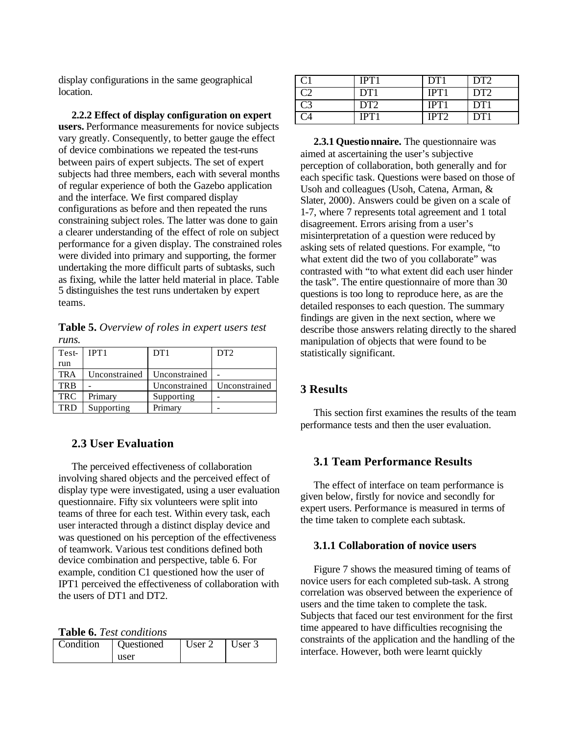display configurations in the same geographical location.

**2.2.2 Effect of display configuration on expert users.** Performance measurements for novice subjects vary greatly. Consequently, to better gauge the effect of device combinations we repeated the test-runs between pairs of expert subjects. The set of expert subjects had three members, each with several months of regular experience of both the Gazebo application and the interface. We first compared display configurations as before and then repeated the runs constraining subject roles. The latter was done to gain a clearer understanding of the effect of role on subject performance for a given display. The constrained roles were divided into primary and supporting, the former undertaking the more difficult parts of subtasks, such as fixing, while the latter held material in place. Table 5 distinguishes the test runs undertaken by expert teams.

**Table 5.** *Overview of roles in expert users test runs.*

| Test-      | IPT <sub>1</sub> | DT1           | DT <sub>2</sub> |
|------------|------------------|---------------|-----------------|
| run        |                  |               |                 |
| <b>TRA</b> | Unconstrained    | Unconstrained |                 |
| <b>TRB</b> |                  | Unconstrained | Unconstrained   |
| <b>TRC</b> | Primary          | Supporting    |                 |
| <b>TRD</b> | Supporting       | Primary       |                 |

# **2.3 User Evaluation**

The perceived effectiveness of collaboration involving shared objects and the perceived effect of display type were investigated, using a user evaluation questionnaire. Fifty six volunteers were split into teams of three for each test. Within every task, each user interacted through a distinct display device and was questioned on his perception of the effectiveness of teamwork. Various test conditions defined both device combination and perspective, table 6. For example, condition C1 questioned how the user of IPT1 perceived the effectiveness of collaboration with the users of DT1 and DT2.

**Table 6.** *Test conditions*

| Condition | Questioned | User 2 | User 3 |
|-----------|------------|--------|--------|
|           | user       |        |        |

|       | IPT1            | $DT^*$ | DT <sub>2</sub> |
|-------|-----------------|--------|-----------------|
|       | DT1             | IPT.   | DT <sub>2</sub> |
| $C_3$ | DT <sub>2</sub> | IP'I   | DT <sub>1</sub> |
|       | IPT             |        | DТ              |

**2.3.1 Questionnaire.** The questionnaire was aimed at ascertaining the user's subjective perception of collaboration, both generally and for each specific task. Questions were based on those of Usoh and colleagues (Usoh, Catena, Arman, & Slater, 2000). Answers could be given on a scale of 1-7, where 7 represents total agreement and 1 total disagreement. Errors arising from a user's misinterpretation of a question were reduced by asking sets of related questions. For example, "to what extent did the two of you collaborate" was contrasted with "to what extent did each user hinder the task". The entire questionnaire of more than 30 questions is too long to reproduce here, as are the detailed responses to each question. The summary findings are given in the next section, where we describe those answers relating directly to the shared manipulation of objects that were found to be statistically significant.

#### **3 Results**

This section first examines the results of the team performance tests and then the user evaluation.

# **3.1 Team Performance Results**

The effect of interface on team performance is given below, firstly for novice and secondly for expert users. Performance is measured in terms of the time taken to complete each subtask.

#### **3.1.1 Collaboration of novice users**

Figure 7 shows the measured timing of teams of novice users for each completed sub-task. A strong correlation was observed between the experience of users and the time taken to complete the task. Subjects that faced our test environment for the first time appeared to have difficulties recognising the constraints of the application and the handling of the interface. However, both were learnt quickly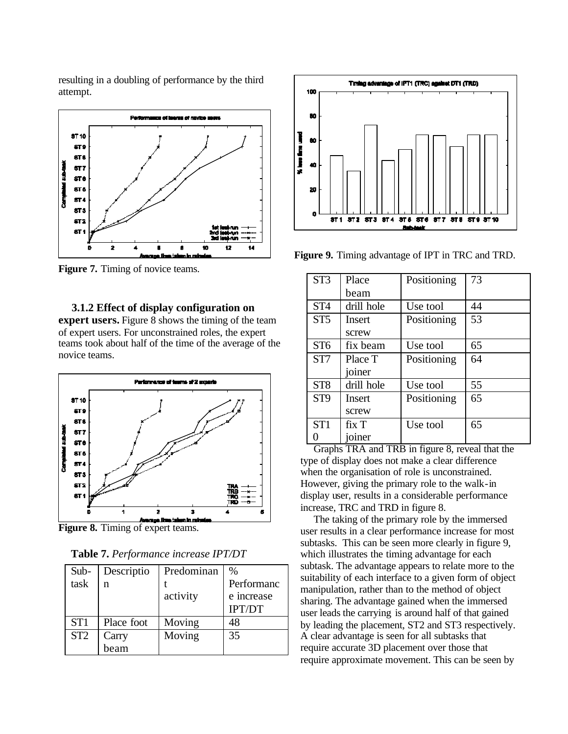resulting in a doubling of performance by the third attempt.



**Figure 7.** Timing of novice teams.

**3.1.2 Effect of display configuration on expert users.** Figure 8 shows the timing of the team of expert users. For unconstrained roles, the expert teams took about half of the time of the average of the novice teams.



**Figure 8.** Timing of expert teams.

**Table 7.** *Performance increase IPT/DT*

| Sub-            | Descriptio | Predominan | $\%$          |
|-----------------|------------|------------|---------------|
| task            | n          |            | Performanc    |
|                 |            | activity   | e increase    |
|                 |            |            | <b>IPT/DT</b> |
| ST <sub>1</sub> | Place foot | Moving     | 48            |
| ST <sub>2</sub> | Carry      | Moving     | 35            |
|                 | beam       |            |               |



**Figure 9.** Timing advantage of IPT in TRC and TRD.

| ST <sub>3</sub> | Place         | Positioning | 73 |
|-----------------|---------------|-------------|----|
|                 | heam          |             |    |
| ST <sub>4</sub> | drill hole    | Use tool    | 44 |
| ST5             | <b>Insert</b> | Positioning | 53 |
|                 | screw         |             |    |
| ST <sub>6</sub> | fix beam      | Use tool    | 65 |
| ST <sub>7</sub> | Place T       | Positioning | 64 |
|                 | joiner        |             |    |
| ST <sub>8</sub> | drill hole    | Use tool    | 55 |
| ST <sub>9</sub> | <b>Insert</b> | Positioning | 65 |
|                 | screw         |             |    |
| ST <sub>1</sub> | fix T         | Use tool    | 65 |
|                 | joiner        |             |    |

Graphs TRA and TRB in figure 8, reveal that the type of display does not make a clear difference when the organisation of role is unconstrained. However, giving the primary role to the walk-in display user, results in a considerable performance increase, TRC and TRD in figure 8.

The taking of the primary role by the immersed user results in a clear performance increase for most subtasks. This can be seen more clearly in figure 9, which illustrates the timing advantage for each subtask. The advantage appears to relate more to the suitability of each interface to a given form of object manipulation, rather than to the method of object sharing. The advantage gained when the immersed user leads the carrying is around half of that gained by leading the placement, ST2 and ST3 respectively. A clear advantage is seen for all subtasks that require accurate 3D placement over those that require approximate movement. This can be seen by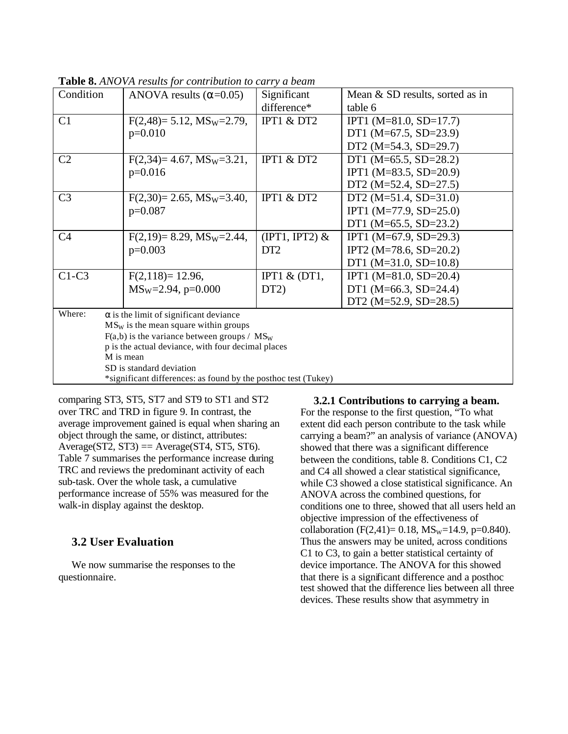| Condition                                                      | ANOVA results $(\alpha=0.05)$                      | Significant                     | Mean & SD results, sorted as in |  |  |
|----------------------------------------------------------------|----------------------------------------------------|---------------------------------|---------------------------------|--|--|
|                                                                |                                                    | difference*                     | table 6                         |  |  |
| C1                                                             | $F(2,48)= 5.12$ , $MS_W=2.79$ ,                    | IPT1 $&$ DT2                    | IPT1 ( $M=81.0$ , $SD=17.7$ )   |  |  |
|                                                                | $p=0.010$                                          |                                 | DT1 (M=67.5, SD=23.9)           |  |  |
|                                                                |                                                    |                                 | DT2 ( $M=54.3$ , SD=29.7)       |  |  |
| C <sub>2</sub>                                                 | $F(2,34)=4.67$ , $MS_W=3.21$ ,                     | IPT1 $&$ DT2                    | DT1 (M=65.5, SD=28.2)           |  |  |
|                                                                | $p=0.016$                                          |                                 | IPT1 (M=83.5, SD=20.9)          |  |  |
|                                                                |                                                    |                                 | DT2 $(M=52.4, SD=27.5)$         |  |  |
| C <sub>3</sub>                                                 | $F(2,30)=2.65$ , $MS_W=3.40$ ,                     | IPT1 $&$ DT2                    | DT2 $(M=51.4, SD=31.0)$         |  |  |
|                                                                | $p=0.087$                                          |                                 | IPT1 $(M=77.9, SD=25.0)$        |  |  |
|                                                                |                                                    |                                 | DT1 (M=65.5, SD=23.2)           |  |  |
| C <sub>4</sub>                                                 | $F(2,19)=8.29$ , $MS_W=2.44$ ,                     | $(\text{IPT1}, \text{IPT2}) \&$ | IPT1 (M=67.9, SD=29.3)          |  |  |
|                                                                | $p=0.003$                                          | DT <sub>2</sub>                 | IPT2 (M=78.6, SD=20.2)          |  |  |
|                                                                |                                                    |                                 | DT1 ( $M=31.0$ , SD=10.8)       |  |  |
| $C1-C3$                                                        | $F(2,118)=12.96$ ,                                 | IPT1 $&$ (DT1,                  | IPT1 (M=81.0, SD=20.4)          |  |  |
|                                                                | $MS_W=2.94$ , p=0.000                              | DT2)                            | DT1 (M=66.3, SD=24.4)           |  |  |
|                                                                |                                                    |                                 | DT2 $(M=52.9, SD=28.5)$         |  |  |
| Where:                                                         | $\alpha$ is the limit of significant deviance      |                                 |                                 |  |  |
|                                                                | $MS_W$ is the mean square within groups            |                                 |                                 |  |  |
| $F(a,b)$ is the variance between groups / $MS_W$               |                                                    |                                 |                                 |  |  |
|                                                                | p is the actual deviance, with four decimal places |                                 |                                 |  |  |
| M is mean                                                      |                                                    |                                 |                                 |  |  |
|                                                                | SD is standard deviation                           |                                 |                                 |  |  |
| *significant differences: as found by the posthoc test (Tukey) |                                                    |                                 |                                 |  |  |

**Table 8.** *ANOVA results for contribution to carry a beam*

comparing ST3, ST5, ST7 and ST9 to ST1 and ST2 over TRC and TRD in figure 9. In contrast, the average improvement gained is equal when sharing an object through the same, or distinct, attributes:  $Average(ST2, ST3) = Average(ST4, ST5, ST6).$ Table 7 summarises the performance increase during TRC and reviews the predominant activity of each sub-task. Over the whole task, a cumulative performance increase of 55% was measured for the walk-in display against the desktop.

# **3.2 User Evaluation**

We now summarise the responses to the questionnaire.

**3.2.1 Contributions to carrying a beam.** For the response to the first question, "To what extent did each person contribute to the task while carrying a beam?" an analysis of variance (ANOVA) showed that there was a significant difference between the conditions, table 8. Conditions C1, C2 and C4 all showed a clear statistical significance, while C3 showed a close statistical significance. An ANOVA across the combined questions, for conditions one to three, showed that all users held an objective impression of the effectiveness of collaboration (F(2,41)= 0.18,  $MS_w=14.9$ , p=0.840). Thus the answers may be united, across conditions C1 to C3, to gain a better statistical certainty of device importance. The ANOVA for this showed that there is a significant difference and a posthoc test showed that the difference lies between all three devices. These results show that asymmetry in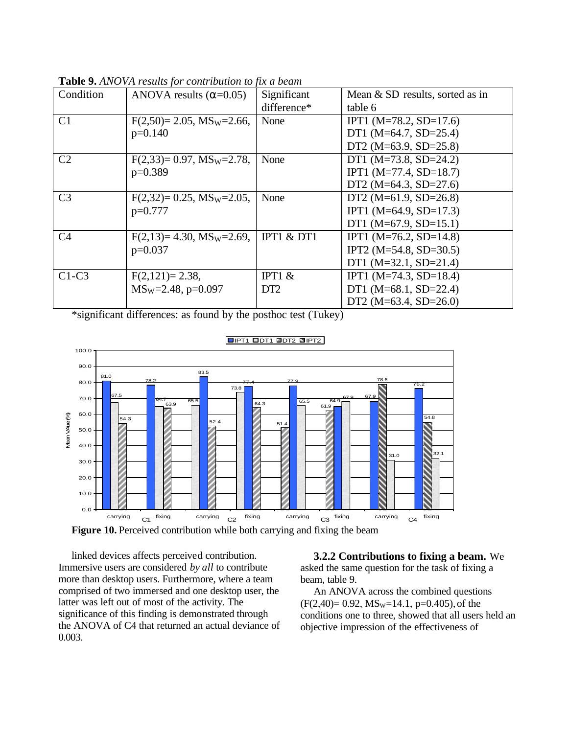| Condition      | ANOVA results $(\alpha=0.05)$  | Significant     | Mean & SD results, sorted as in |
|----------------|--------------------------------|-----------------|---------------------------------|
|                |                                | difference*     | table 6                         |
| C <sub>1</sub> | $F(2,50)=2.05$ , $MS_W=2.66$ , | None            | IPT1 (M=78.2, SD=17.6)          |
|                | $p=0.140$                      |                 | DT1 (M=64.7, SD=25.4)           |
|                |                                |                 | DT2 (M= $63.9$ , SD= $25.8$ )   |
| C <sub>2</sub> | $F(2,33)=0.97$ , $MS_w=2.78$ , | None            | DT1 (M=73.8, SD=24.2)           |
|                | $p=0.389$                      |                 | IPT1 ( $M=77.4$ , SD=18.7)      |
|                |                                |                 | DT2 (M=64.3, SD=27.6)           |
| C <sub>3</sub> | $F(2,32)=0.25$ , $MS_W=2.05$ , | None            | DT2 (M= $61.9$ , SD= $26.8$ )   |
|                | $p=0.777$                      |                 | IPT1 (M=64.9, SD=17.3)          |
|                |                                |                 | DT1 (M=67.9, SD=15.1)           |
| C <sub>4</sub> | $F(2,13)=4.30$ , $MS_w=2.69$ , | IPT1 $&$ DT1    | IPT1 (M=76.2, SD=14.8)          |
|                | $p=0.037$                      |                 | IPT2 ( $M=54.8$ , SD=30.5)      |
|                |                                |                 | DT1 $(M=32.1, SD=21.4)$         |
| $C1-C3$        | $F(2,121)=2.38$ ,              | IPT1 $&$        | IPT1 ( $M=74.3$ , SD=18.4)      |
|                | $MS_W=2.48$ , p=0.097          | DT <sub>2</sub> | DT1 (M=68.1, SD=22.4)           |
|                |                                |                 | DT2 (M= $63.4$ , SD= $26.0$ )   |

**Table 9.** *ANOVA results for contribution to fix a beam*

\*significant differences: as found by the posthoc test (Tukey)



**Figure 10.** Perceived contribution while both carrying and fixing the beam

linked devices affects perceived contribution. Immersive users are considered *by all* to contribute more than desktop users. Furthermore, where a team comprised of two immersed and one desktop user, the latter was left out of most of the activity. The significance of this finding is demonstrated through the ANOVA of C4 that returned an actual deviance of 0.003.

**3.2.2 Contributions to fixing a beam.** We asked the same question for the task of fixing a beam, table 9.

An ANOVA across the combined questions  $(F(2,40)= 0.92, MS_w=14.1, p=0.405)$ , of the conditions one to three, showed that all users held an objective impression of the effectiveness of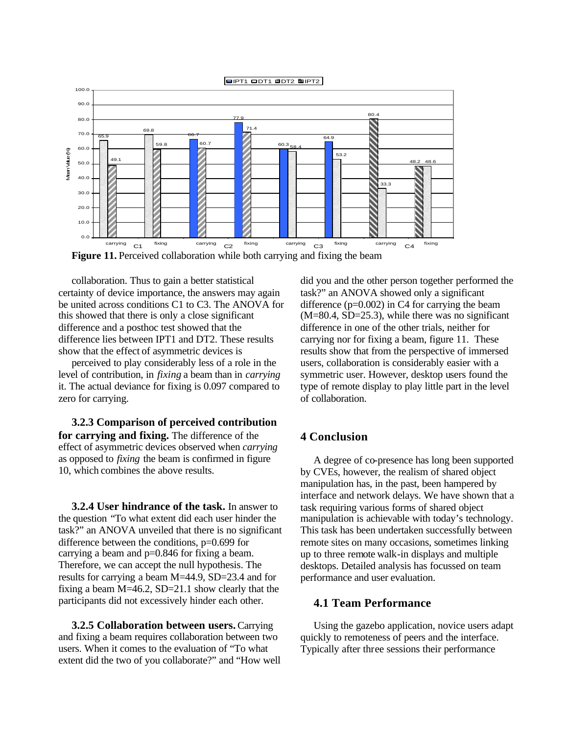

**Figure 11.** Perceived collaboration while both carrying and fixing the beam

collaboration. Thus to gain a better statistical certainty of device importance, the answers may again be united across conditions C1 to C3. The ANOVA for this showed that there is only a close significant difference and a posthoc test showed that the difference lies between IPT1 and DT2. These results show that the effect of asymmetric devices is

perceived to play considerably less of a role in the level of contribution, in *fixing* a beam than in *carrying* it. The actual deviance for fixing is 0.097 compared to zero for carrying.

**3.2.3 Comparison of perceived contribution for carrying and fixing.** The difference of the effect of asymmetric devices observed when *carrying* as opposed to *fixing* the beam is confirmed in figure 10, which combines the above results.

**3.2.4 User hindrance of the task.** In answer to the question "To what extent did each user hinder the task?" an ANOVA unveiled that there is no significant difference between the conditions, p=0.699 for carrying a beam and p=0.846 for fixing a beam. Therefore, we can accept the null hypothesis. The results for carrying a beam M=44.9, SD=23.4 and for fixing a beam M=46.2, SD=21.1 show clearly that the participants did not excessively hinder each other.

**3.2.5 Collaboration between users.** Carrying and fixing a beam requires collaboration between two users. When it comes to the evaluation of "To what extent did the two of you collaborate?" and "How well did you and the other person together performed the task?" an ANOVA showed only a significant difference  $(p=0.002)$  in C4 for carrying the beam (M=80.4, SD=25.3), while there was no significant difference in one of the other trials, neither for carrying nor for fixing a beam, figure 11. These results show that from the perspective of immersed users, collaboration is considerably easier with a symmetric user. However, desktop users found the type of remote display to play little part in the level of collaboration.

# **4 Conclusion**

A degree of co-presence has long been supported by CVEs, however, the realism of shared object manipulation has, in the past, been hampered by interface and network delays. We have shown that a task requiring various forms of shared object manipulation is achievable with today's technology. This task has been undertaken successfully between remote sites on many occasions, sometimes linking up to three remote walk-in displays and multiple desktops. Detailed analysis has focussed on team performance and user evaluation.

# **4.1 Team Performance**

Using the gazebo application, novice users adapt quickly to remoteness of peers and the interface. Typically after three sessions their performance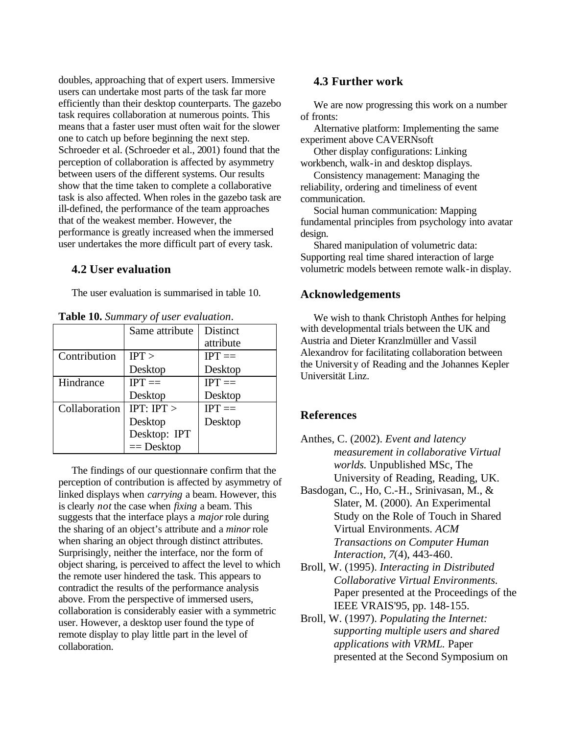doubles, approaching that of expert users. Immersive users can undertake most parts of the task far more efficiently than their desktop counterparts. The gazebo task requires collaboration at numerous points. This means that a faster user must often wait for the slower one to catch up before beginning the next step. Schroeder et al. (Schroeder et al., 2001) found that the perception of collaboration is affected by asymmetry between users of the different systems. Our results show that the time taken to complete a collaborative task is also affected. When roles in the gazebo task are ill-defined, the performance of the team approaches that of the weakest member. However, the performance is greatly increased when the immersed user undertakes the more difficult part of every task.

# **4.2 User evaluation**

The user evaluation is summarised in table 10.

|               | Same attribute | Distinct     |
|---------------|----------------|--------------|
|               |                | attribute    |
| Contribution  | IPT >          | $IPT ==$     |
|               | Desktop        | Desktop      |
| Hindrance     | $IPT ==$       | $IPT ==$     |
|               | Desktop        | Desktop      |
| Collaboration | IPT: IPT       | $IPT \equiv$ |
|               | Desktop        | Desktop      |
|               | Desktop: IPT   |              |
|               | $==$ Desktop   |              |

**Table 10.** *Summary of user evaluation*.

The findings of our questionnare confirm that the perception of contribution is affected by asymmetry of linked displays when *carrying* a beam. However, this is clearly *not* the case when *fixing* a beam. This suggests that the interface plays a *major* role during the sharing of an object's attribute and a *minor* role when sharing an object through distinct attributes. Surprisingly, neither the interface, nor the form of object sharing, is perceived to affect the level to which the remote user hindered the task. This appears to contradict the results of the performance analysis above. From the perspective of immersed users, collaboration is considerably easier with a symmetric user. However, a desktop user found the type of remote display to play little part in the level of collaboration.

# **4.3 Further work**

We are now progressing this work on a number of fronts:

Alternative platform: Implementing the same experiment above CAVERNsoft

Other display configurations: Linking workbench, walk-in and desktop displays.

Consistency management: Managing the reliability, ordering and timeliness of event communication.

Social human communication: Mapping fundamental principles from psychology into avatar design.

Shared manipulation of volumetric data: Supporting real time shared interaction of large volumetric models between remote walk-in display.

# **Acknowledgements**

We wish to thank Christoph Anthes for helping with developmental trials between the UK and Austria and Dieter Kranzlmüller and Vassil Alexandrov for facilitating collaboration between the University of Reading and the Johannes Kepler Universität Linz.

# **References**

Anthes, C. (2002). *Event and latency measurement in collaborative Virtual worlds.* Unpublished MSc, The University of Reading, Reading, UK.

Basdogan, C., Ho, C.-H., Srinivasan, M., & Slater, M. (2000). An Experimental Study on the Role of Touch in Shared Virtual Environments. *ACM Transactions on Computer Human Interaction, 7*(4), 443-460.

- Broll, W. (1995). *Interacting in Distributed Collaborative Virtual Environments.* Paper presented at the Proceedings of the IEEE VRAIS'95, pp. 148-155.
- Broll, W. (1997). *Populating the Internet: supporting multiple users and shared applications with VRML.* Paper presented at the Second Symposium on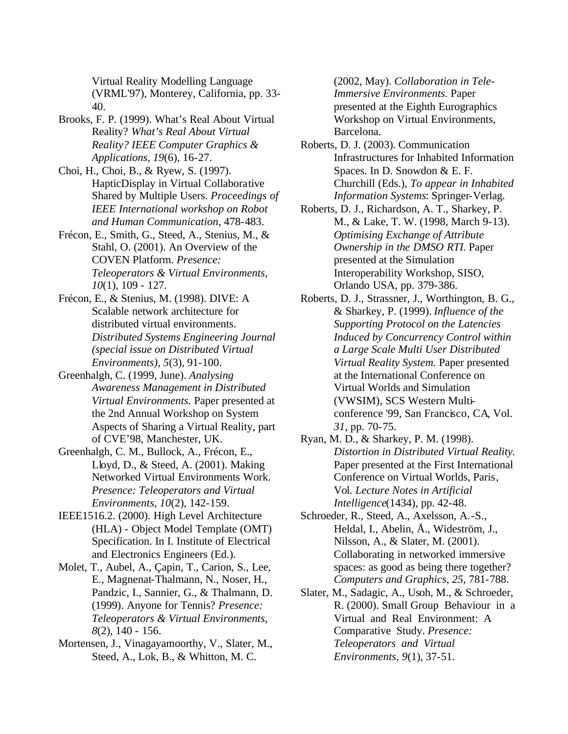Virtual Reality Modelling Language (VRML'97), Monterey, California, pp. 33- 40.

- Brooks, F. P. (1999). What's Real About Virtual Reality? *What's Real About Virtual Reality? IEEE Computer Graphics & Applications, 19*(6), 16-27.
- Choi, H., Choi, B., & Ryew, S. (1997). HapticDisplay in Virtual Collaborative Shared by Multiple Users. *Proceedings of IEEE International workshop on Robot and Human Communication*, 478-483.
- Frécon, E., Smith, G., Steed, A., Stenius, M., & Stahl, O. (2001). An Overview of the COVEN Platform. *Presence: Teleoperators & Virtual Environments, 10*(1), 109 - 127.
- Frécon, E., & Stenius, M. (1998). DIVE: A Scalable network architecture for distributed virtual environments. *Distributed Systems Engineering Journal (special issue on Distributed Virtual Environments), 5*(3), 91-100.
- Greenhalgh, C. (1999, June). *Analysing Awareness Management in Distributed Virtual Environments.* Paper presented at the 2nd Annual Workshop on System Aspects of Sharing a Virtual Reality, part of CVE'98, Manchester, UK.
- Greenhalgh, C. M., Bullock, A., Frécon, E., Lloyd, D., & Steed, A. (2001). Making Networked Virtual Environments Work. *Presence: Teleoperators and Virtual Environments, 10*(2), 142-159.
- IEEE1516.2. (2000). High Level Architecture (HLA) - Object Model Template (OMT) Specification. In I. Institute of Electrical and Electronics Engineers (Ed.).
- Molet, T., Aubel, A., Çapin, T., Carion, S., Lee, E., Magnenat-Thalmann, N., Noser, H., Pandzic, I., Sannier, G., & Thalmann, D. (1999). Anyone for Tennis? *Presence: Teleoperators & Virtual Environments, 8*(2), 140 - 156.
- Mortensen, J., Vinagayamoorthy, V., Slater, M., Steed, A., Lok, B., & Whitton, M. C.

(2002, May). *Collaboration in Tele-Immersive Environments.* Paper presented at the Eighth Eurographics Workshop on Virtual Environments, Barcelona.

- Roberts, D. J. (2003). Communication Infrastructures for Inhabited Information Spaces. In D. Snowdon & E. F. Churchill (Eds.), *To appear in Inhabited Information Systems*: Springer-Verlag.
- Roberts, D. J., Richardson, A. T., Sharkey, P. M., & Lake, T. W. (1998, March 9-13). *Optimising Exchange of Attribute Ownership in the DMSO RTI.* Paper presented at the Simulation Interoperability Workshop, SISO, Orlando USA, pp. 379-386.
- Roberts, D. J., Strassner, J., Worthington, B. G., & Sharkey, P. (1999). *Influence of the Supporting Protocol on the Latencies Induced by Concurrency Control within a Large Scale Multi User Distributed Virtual Reality System.* Paper presented at the International Conference on Virtual Worlds and Simulation (VWSIM), SCS Western Multiconference '99, San Francisco, CA*,* Vol. *31*, pp. 70-75.
- Ryan, M. D., & Sharkey, P. M. (1998). *Distortion in Distributed Virtual Reality.* Paper presented at the First International Conference on Virtual Worlds, Paris*,* Vol. *Lecture Notes in Artificial Intelligence*(1434), pp. 42-48.
- Schroeder, R., Steed, A., Axelsson, A.-S., Heldal, I., Abelin, Å., Wideström, J., Nilsson, A., & Slater, M. (2001). Collaborating in networked immersive spaces: as good as being there together? *Computers and Graphics, 25*, 781-788.
- Slater, M., Sadagic, A., Usoh, M., & Schroeder, R. (2000). Small Group Behaviour in a Virtual and Real Environment: A Comparative Study. *Presence: Teleoperators and Virtual Environments, 9*(1), 37-51.